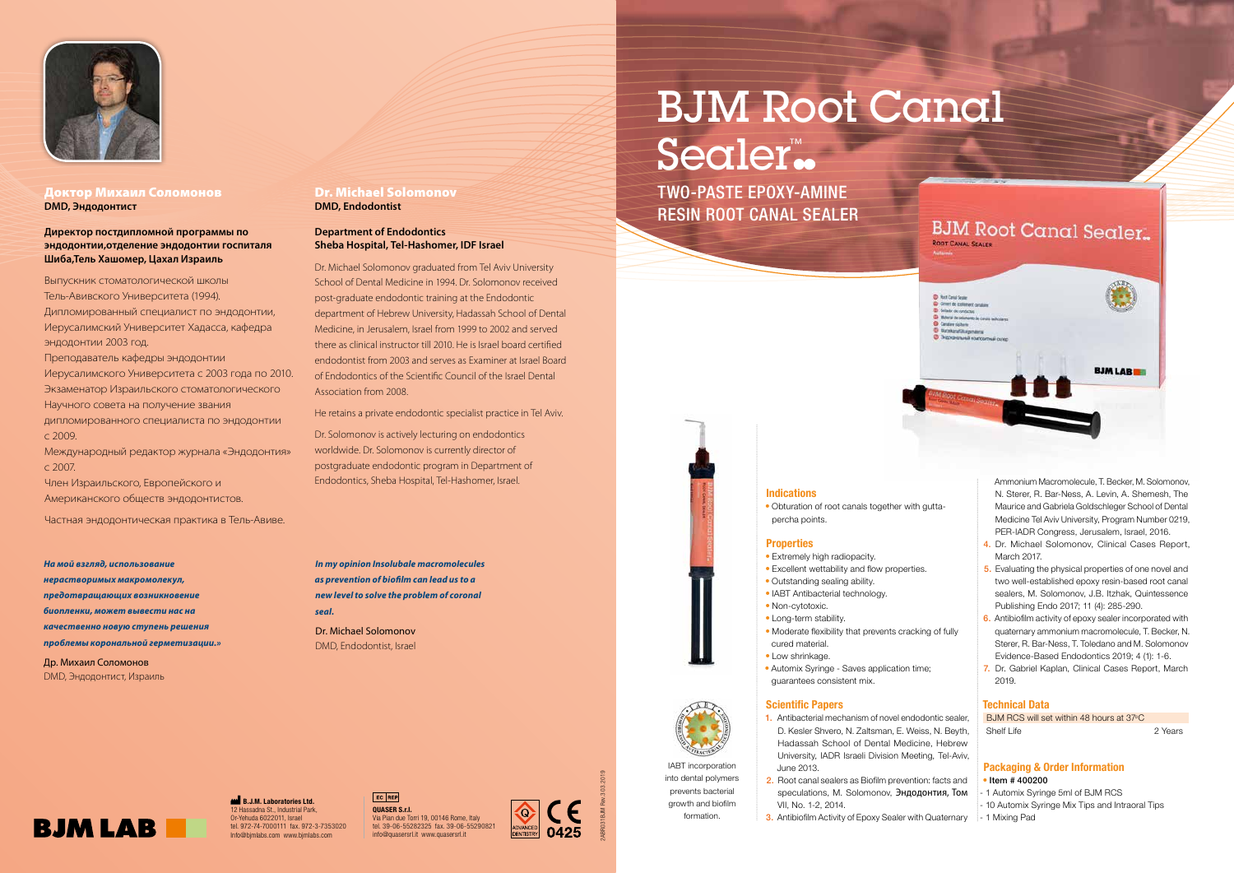2ABR031BJM Rev.3 03.2019

# *На мой взгляд, использование нерастворимых макромолекул,*

*предотвращающих возникновение биопленки, может вывести нас на качественно новую ступень решения проблемы корональной герметизации.»*

Др. Михаил Соломонов DMD, Эндодонтист, Израиль *In my opinion Insolubale macromolecules as prevention of biofilm can lead us to a new level to solve the problem of coronal seal.*

Dr. Michael Solomonov DMD, Endodontist, Israel



# Доктор Михаил Соломонов **DMD, Эндодонтист**

# **Директор постдипломной программы по эндодонтии,отделение эндодонтии госпиталя Шиба,Тель Хашомер, Цахал Израиль**

Выпускник стоматологической школы Тель-Авивского Университета (1994). Дипломированный специалист по эндодонтии, Иерусалимский Университет Хадасса, кафедра эндодонтии 2003 год. Преподаватель кафедры эндодонтии Иерусалимского Университета с 2003 годa пo 2010. Экзаменатор Израильского стоматологического Научного совета на получение звания дипломированного специалиста по эндодонтии с 2009. Международный редактор журнала «Эндодонтия» с 2007.

> • Obturation of root canals together with guttapercha points.

#### **Properties**

Член Израильского, Европейского и

Американского обществ эндодонтистов.

Частная эндодонтическая практика в Тель-Авиве.

### Dr. Michael Solomonov **DMD, Endodontist**

## **Department of Endodontics Sheba Hospital, Tel-Hashomer, IDF Israel**

Dr. Michael Solomonov graduated from Tel Aviv University School of Dental Medicine in 1994. Dr. Solomonov received post-graduate endodontic training at the Endodontic department of Hebrew University, Hadassah School of Dental Medicine, in Jerusalem, Israel from 1999 to 2002 and served there as clinical instructor till 2010. He is Israel board certified endodontist from 2003 and serves as Examiner at Israel Board of Endodontics of the Scientific Council of the Israel Dental Association from 2008.

He retains a private endodontic specialist practice in Tel Aviv.

Dr. Solomonov is actively lecturing on endodontics worldwide. Dr. Solomonov is currently director of postgraduate endodontic program in Department of Endodontics, Sheba Hospital, Tel-Hashomer, Israel.

# EC REP QUASER S.r.l.

#### Indications

B.J.M. Laboratories Ltd. 12 Hassadna St., Industrial Park, Or-Yehuda 6022011, Israel tel. 972-74-7000111 fax. 972-3-7353020 Info@bjmlabs.com www.bjmlabs.com

# BJM Root Canal Sealer™

- Extremely high radiopacity.
- Excellent wettability and flow properties.
- Outstanding sealing ability.
- IABT Antibacterial technology.
- Non-cytotoxic.
- Long-term stability. • Moderate flexibility that prevents cracking of fully cured material.
- Low shrinkage.
- Automix Syringe Sayes application time: guarantees consistent mix.

#### Scientific Papers

- 1. Antibacterial mechanism of novel endodontic sealer, D. Kesler Shvero, N. Zaltsman, E. Weiss, N. Beyth, Hadassah School of Dental Medicine, Hebrew University, IADR Israeli Division Meeting, Tel-Aviv, June 2013.
- 2. Root canal sealers as Biofilm prevention: facts and speculations, M. Solomonov, Эндодонтия, Том VII, No. 1-2, 2014.
- 3. Antibiofilm Activity of Epoxy Sealer with Quaternary

TWO-PASTE EPOXY-AMINE RESIN ROOT CANAL SEALER

IABT incorporation into dental polymers prevents bacterial growth and biofilm formation.



Ammonium Macromolecule, T. Becker, M. Solomonov, N. Sterer, R. Bar-Ness, A. Levin, A. Shemesh, The Maurice and Gabriela Goldschleger School of Dental Medicine Tel Aviv University, Program Number 0219, PER-IADR Congress, Jerusalem, Israel, 2016.

- 4. Dr. Michael Solomonov, Clinical Cases Report, March 2017.
- 5. Evaluating the physical properties of one novel and two well-established epoxy resin-based root canal sealers, M. Solomonov, J.B. Itzhak, Quintessence Publishing Endo 2017; 11 (4): 285-290.
- 6. Antibiofilm activity of epoxy sealer incorporated with quaternary ammonium macromolecule, T. Becker, N. Sterer, R. Bar-Ness, T. Toledano and M. Solomonov Evidence-Based Endodontics 2019; 4 (1): 1-6.
- 7. Dr. Gabriel Kaplan, Clinical Cases Report, March 2019.

# Technical Data

BJM RCS will set within 48 hours at 37°C Shelf Life 2 Years

# Packaging & Order Information

## • Item # 400200

- 1 Automix Syringe 5ml of BJM RCS
- 10 Automix Syringe Mix Tips and Intraoral Tips
- 1 Mixing Pad

Via Pian due Torri 19, 00146 Rome, Italy tel. 39-06-55282325 fax. 39-06-55290821 info@quasersrl.it www.quasersrl.it